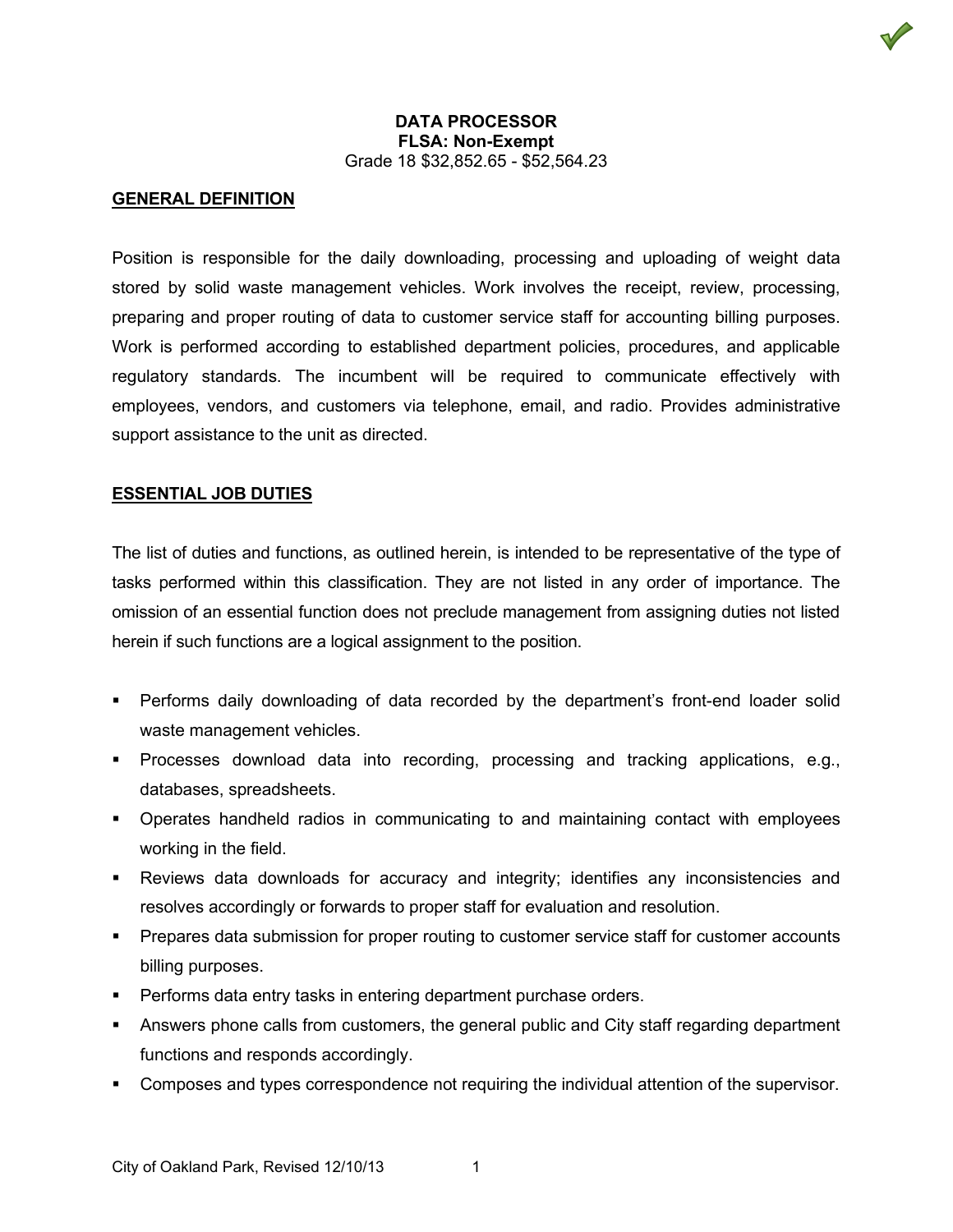### **DATA PROCESSOR FLSA: Non-Exempt** Grade 18 \$32,852.65 - \$52,564.23

### **GENERAL DEFINITION**

Position is responsible for the daily downloading, processing and uploading of weight data stored by solid waste management vehicles. Work involves the receipt, review, processing, preparing and proper routing of data to customer service staff for accounting billing purposes. Work is performed according to established department policies, procedures, and applicable regulatory standards. The incumbent will be required to communicate effectively with employees, vendors, and customers via telephone, email, and radio. Provides administrative support assistance to the unit as directed.

#### **ESSENTIAL JOB DUTIES**

The list of duties and functions, as outlined herein, is intended to be representative of the type of tasks performed within this classification. They are not listed in any order of importance. The omission of an essential function does not preclude management from assigning duties not listed herein if such functions are a logical assignment to the position.

- Performs daily downloading of data recorded by the department's front-end loader solid waste management vehicles.
- Processes download data into recording, processing and tracking applications, e.g., databases, spreadsheets.
- Operates handheld radios in communicating to and maintaining contact with employees working in the field.
- Reviews data downloads for accuracy and integrity; identifies any inconsistencies and resolves accordingly or forwards to proper staff for evaluation and resolution.
- **Prepares data submission for proper routing to customer service staff for customer accounts** billing purposes.
- **Performs data entry tasks in entering department purchase orders.**
- Answers phone calls from customers, the general public and City staff regarding department functions and responds accordingly.
- Composes and types correspondence not requiring the individual attention of the supervisor.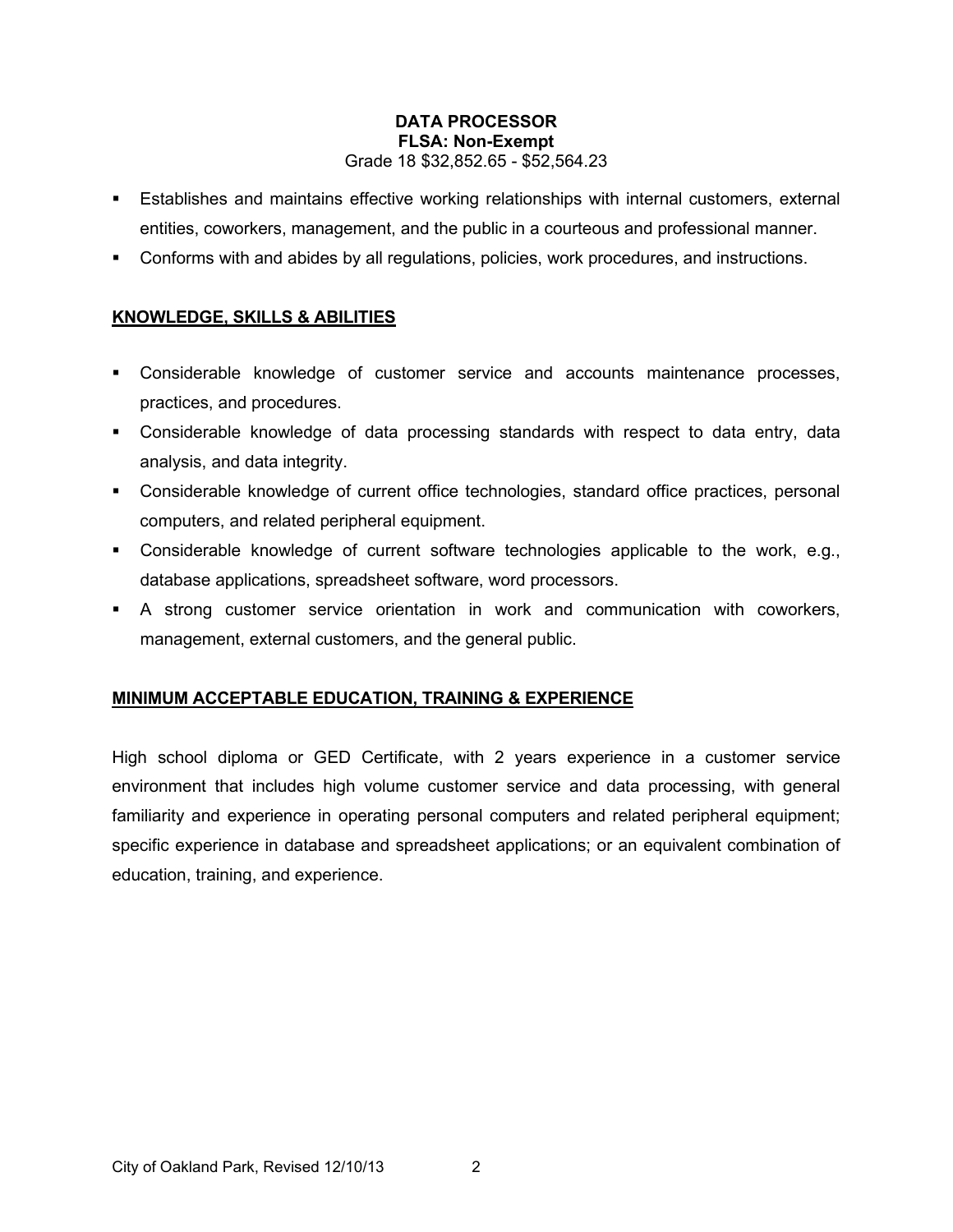### **DATA PROCESSOR FLSA: Non-Exempt** Grade 18 \$32,852.65 - \$52,564.23

- Establishes and maintains effective working relationships with internal customers, external entities, coworkers, management, and the public in a courteous and professional manner.
- Conforms with and abides by all regulations, policies, work procedures, and instructions.

## **KNOWLEDGE, SKILLS & ABILITIES**

- Considerable knowledge of customer service and accounts maintenance processes, practices, and procedures.
- Considerable knowledge of data processing standards with respect to data entry, data analysis, and data integrity.
- Considerable knowledge of current office technologies, standard office practices, personal computers, and related peripheral equipment.
- Considerable knowledge of current software technologies applicable to the work, e.g., database applications, spreadsheet software, word processors.
- A strong customer service orientation in work and communication with coworkers, management, external customers, and the general public.

# **MINIMUM ACCEPTABLE EDUCATION, TRAINING & EXPERIENCE**

High school diploma or GED Certificate, with 2 years experience in a customer service environment that includes high volume customer service and data processing, with general familiarity and experience in operating personal computers and related peripheral equipment; specific experience in database and spreadsheet applications; or an equivalent combination of education, training, and experience.